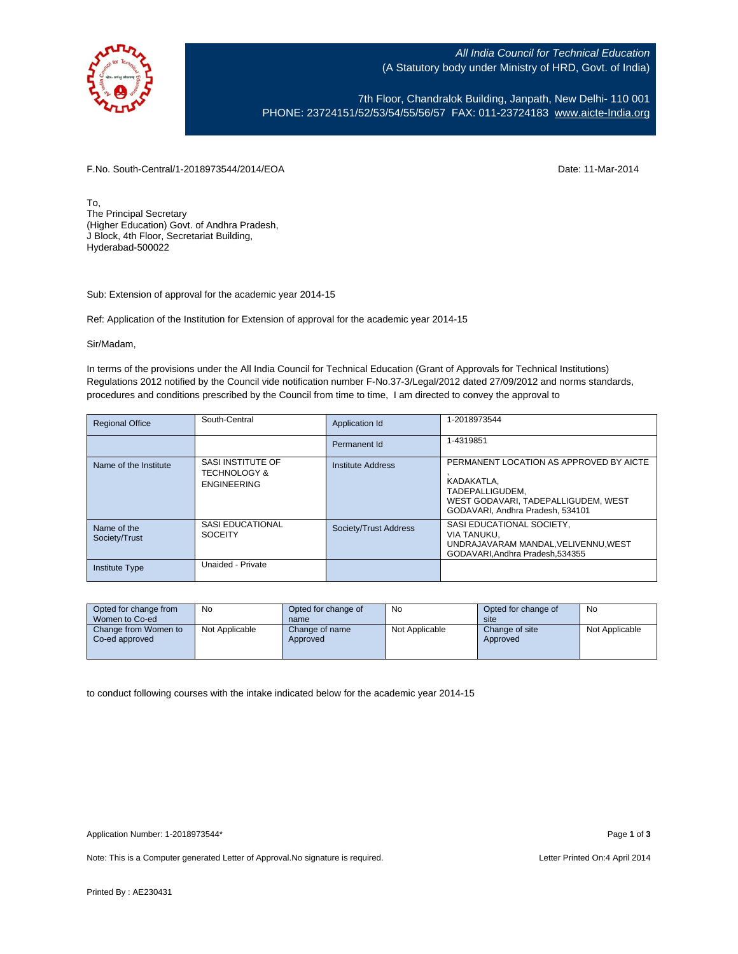

All India Council for Technical Education (A Statutory body under Ministry of HRD, Govt. of India)

7th Floor, Chandralok Building, Janpath, New Delhi- 110 001 PHONE: 23724151/52/53/54/55/56/57 FAX: 011-23724183 [www.aicte-India.org](http://www.aicte-india.org/)

F.No. South-Central/1-2018973544/2014/EOA Date: 11-Mar-2014

To, The Principal Secretary (Higher Education) Govt. of Andhra Pradesh, J Block, 4th Floor, Secretariat Building, Hyderabad-500022

Sub: Extension of approval for the academic year 2014-15

Ref: Application of the Institution for Extension of approval for the academic year 2014-15

Sir/Madam,

In terms of the provisions under the All India Council for Technical Education (Grant of Approvals for Technical Institutions) Regulations 2012 notified by the Council vide notification number F-No.37-3/Legal/2012 dated 27/09/2012 and norms standards, procedures and conditions prescribed by the Council from time to time, I am directed to convey the approval to

| <b>Regional Office</b>       | South-Central                                                      | Application Id        | 1-2018973544                                                                                                                                        |
|------------------------------|--------------------------------------------------------------------|-----------------------|-----------------------------------------------------------------------------------------------------------------------------------------------------|
|                              |                                                                    | Permanent Id          | 1-4319851                                                                                                                                           |
| Name of the Institute        | SASI INSTITUTE OF<br><b>TECHNOLOGY &amp;</b><br><b>ENGINEERING</b> | Institute Address     | PERMANENT LOCATION AS APPROVED BY AICTE<br>KADAKATLA,<br>TADEPALLIGUDEM.<br>WEST GODAVARI, TADEPALLIGUDEM, WEST<br>GODAVARI. Andhra Pradesh. 534101 |
| Name of the<br>Society/Trust | SASI EDUCATIONAL<br><b>SOCEITY</b>                                 | Society/Trust Address | SASI EDUCATIONAL SOCIETY,<br>VIA TANUKU.<br>UNDRAJAVARAM MANDAL, VELIVENNU, WEST<br>GODAVARI.Andhra Pradesh.534355                                  |
| <b>Institute Type</b>        | Unaided - Private                                                  |                       |                                                                                                                                                     |

| Opted for change from<br>Women to Co-ed | No             | Opted for change of<br>name | No             | Opted for change of<br>site | No             |
|-----------------------------------------|----------------|-----------------------------|----------------|-----------------------------|----------------|
| Change from Women to<br>Co-ed approved  | Not Applicable | Change of name<br>Approved  | Not Applicable | Change of site<br>Approved  | Not Applicable |

to conduct following courses with the intake indicated below for the academic year 2014-15

Note: This is a Computer generated Letter of Approval. No signature is required. <br>
Note: This is a Computer generated Letter of Approval. No signature is required.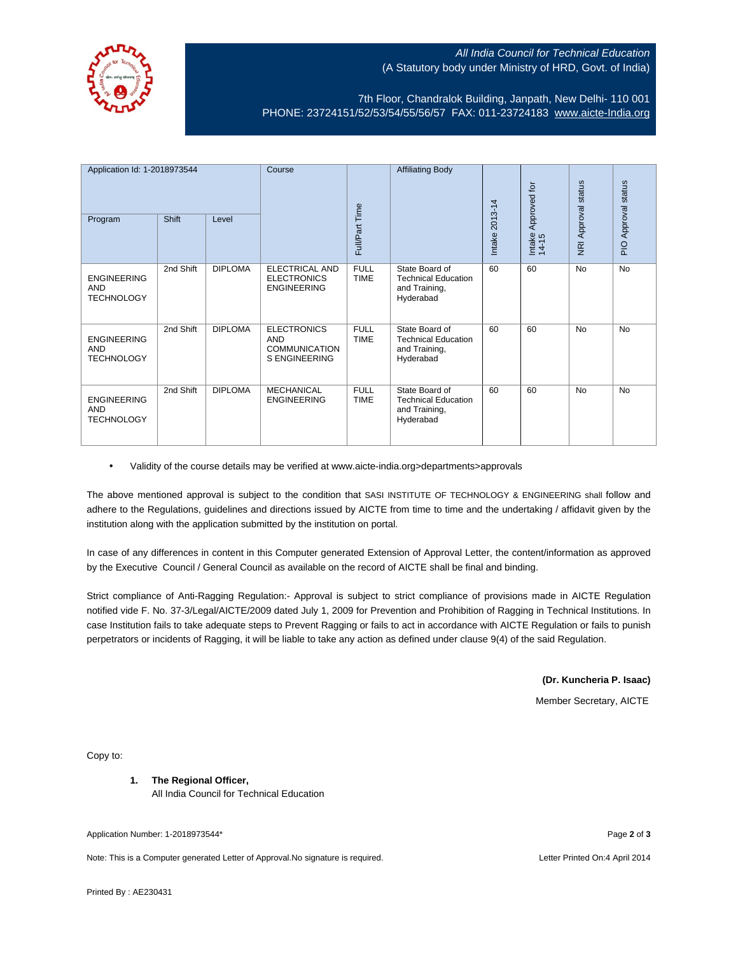

## All India Council for Technical Education (A Statutory body under Ministry of HRD, Govt. of India)

7th Floor, Chandralok Building, Janpath, New Delhi- 110 001 PHONE: 23724151/52/53/54/55/56/57 FAX: 011-23724183 [www.aicte-India.org](http://www.aicte-india.org/)

| Application Id: 1-2018973544<br><b>Shift</b><br>Level<br>Program |           | Course         | Full/Part Time                                                                   | <b>Affiliating Body</b>    | 2013-14                                                                    | Approved for | status<br>NRI Approval | status<br>Approval |           |
|------------------------------------------------------------------|-----------|----------------|----------------------------------------------------------------------------------|----------------------------|----------------------------------------------------------------------------|--------------|------------------------|--------------------|-----------|
|                                                                  |           |                |                                                                                  |                            |                                                                            | Intake       | Intake<br>14-15        |                    | PIO.      |
| <b>ENGINEERING</b><br><b>AND</b><br><b>TECHNOLOGY</b>            | 2nd Shift | <b>DIPLOMA</b> | ELECTRICAL AND<br><b>ELECTRONICS</b><br><b>ENGINEERING</b>                       | <b>FULL</b><br><b>TIME</b> | State Board of<br><b>Technical Education</b><br>and Training,<br>Hyderabad | 60           | 60                     | <b>No</b>          | <b>No</b> |
| <b>ENGINEERING</b><br><b>AND</b><br><b>TECHNOLOGY</b>            | 2nd Shift | <b>DIPLOMA</b> | <b>ELECTRONICS</b><br><b>AND</b><br><b>COMMUNICATION</b><br><b>S ENGINEERING</b> | <b>FULL</b><br><b>TIME</b> | State Board of<br><b>Technical Education</b><br>and Training,<br>Hyderabad | 60           | 60                     | <b>No</b>          | <b>No</b> |
| <b>ENGINEERING</b><br><b>AND</b><br><b>TECHNOLOGY</b>            | 2nd Shift | <b>DIPLOMA</b> | <b>MECHANICAL</b><br><b>ENGINEERING</b>                                          | <b>FULL</b><br><b>TIME</b> | State Board of<br><b>Technical Education</b><br>and Training,<br>Hyderabad | 60           | 60                     | <b>No</b>          | <b>No</b> |

• Validity of the course details may be verified at www.aicte-india.org>departments>approvals

The above mentioned approval is subject to the condition that SASI INSTITUTE OF TECHNOLOGY & ENGINEERING shall follow and adhere to the Regulations, guidelines and directions issued by AICTE from time to time and the undertaking / affidavit given by the institution along with the application submitted by the institution on portal.

In case of any differences in content in this Computer generated Extension of Approval Letter, the content/information as approved by the Executive Council / General Council as available on the record of AICTE shall be final and binding.

Strict compliance of Anti-Ragging Regulation:- Approval is subject to strict compliance of provisions made in AICTE Regulation notified vide F. No. 37-3/Legal/AICTE/2009 dated July 1, 2009 for Prevention and Prohibition of Ragging in Technical Institutions. In case Institution fails to take adequate steps to Prevent Ragging or fails to act in accordance with AICTE Regulation or fails to punish perpetrators or incidents of Ragging, it will be liable to take any action as defined under clause 9(4) of the said Regulation.

## **(Dr. Kuncheria P. Isaac)**

Member Secretary, AICTE

Copy to:

**1. The Regional Officer,** All India Council for Technical Education

Application Number: 1-2018973544\* Page **2** of **3**

Note: This is a Computer generated Letter of Approval.No signature is required. Letter Printed On:4 April 2014